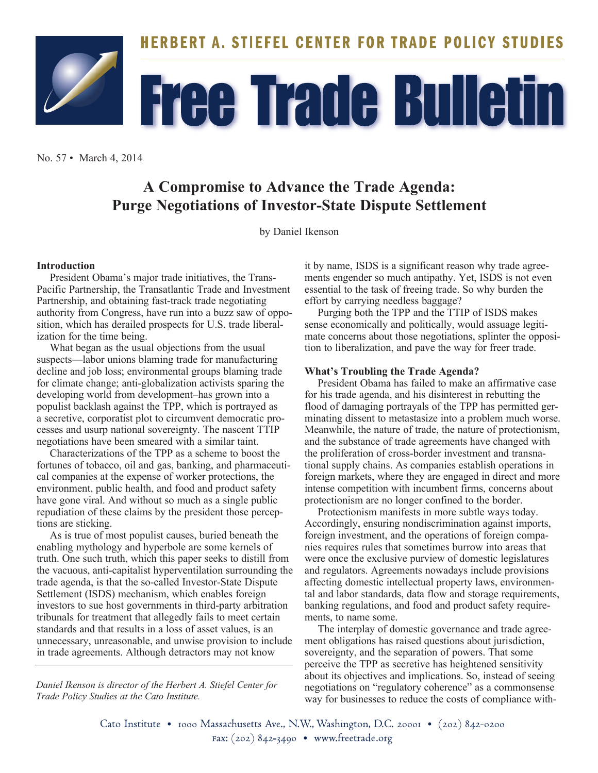

No. 57 • March 4, 2014

# **A Compromise to Advance the Trade Agenda: Purge Negotiations of Investor-State Dispute Settlement**

by Daniel Ikenson

## **Introduction**

President Obama's major trade initiatives, the Trans-Pacific Partnership, the Transatlantic Trade and Investment Partnership, and obtaining fast-track trade negotiating authority from Congress, have run into a buzz saw of opposition, which has derailed prospects for U.S. trade liberalization for the time being.

What began as the usual objections from the usual suspects—labor unions blaming trade for manufacturing decline and job loss; environmental groups blaming trade for climate change; anti-globalization activists sparing the developing world from development–has grown into a populist backlash against the TPP, which is portrayed as a secretive, corporatist plot to circumvent democratic processes and usurp national sovereignty. The nascent TTIP negotiations have been smeared with a similar taint.

Characterizations of the TPP as a scheme to boost the fortunes of tobacco, oil and gas, banking, and pharmaceutical companies at the expense of worker protections, the environment, public health, and food and product safety have gone viral. And without so much as a single public repudiation of these claims by the president those perceptions are sticking.

As is true of most populist causes, buried beneath the enabling mythology and hyperbole are some kernels of truth. One such truth, which this paper seeks to distill from the vacuous, anti-capitalist hyperventilation surrounding the trade agenda, is that the so-called Investor-State Dispute Settlement (ISDS) mechanism, which enables foreign investors to sue host governments in third-party arbitration tribunals for treatment that allegedly fails to meet certain standards and that results in a loss of asset values, is an unnecessary, unreasonable, and unwise provision to include in trade agreements. Although detractors may not know

*Daniel Ikenson is director of the Herbert A. Stiefel Center for Trade Policy Studies at the Cato Institute.*

it by name, ISDS is a significant reason why trade agreements engender so much antipathy. Yet, ISDS is not even essential to the task of freeing trade. So why burden the effort by carrying needless baggage?

Purging both the TPP and the TTIP of ISDS makes sense economically and politically, would assuage legitimate concerns about those negotiations, splinter the opposition to liberalization, and pave the way for freer trade.

### **What's Troubling the Trade Agenda?**

President Obama has failed to make an affirmative case for his trade agenda, and his disinterest in rebutting the flood of damaging portrayals of the TPP has permitted germinating dissent to metastasize into a problem much worse. Meanwhile, the nature of trade, the nature of protectionism, and the substance of trade agreements have changed with the proliferation of cross-border investment and transnational supply chains. As companies establish operations in foreign markets, where they are engaged in direct and more intense competition with incumbent firms, concerns about protectionism are no longer confined to the border.

Protectionism manifests in more subtle ways today. Accordingly, ensuring nondiscrimination against imports, foreign investment, and the operations of foreign companies requires rules that sometimes burrow into areas that were once the exclusive purview of domestic legislatures and regulators. Agreements nowadays include provisions affecting domestic intellectual property laws, environmental and labor standards, data flow and storage requirements, banking regulations, and food and product safety requirements, to name some.

The interplay of domestic governance and trade agreement obligations has raised questions about jurisdiction, sovereignty, and the separation of powers. That some perceive the TPP as secretive has heightened sensitivity about its objectives and implications. So, instead of seeing negotiations on "regulatory coherence" as a commonsense way for businesses to reduce the costs of compliance with-

Cato Institute · 1000 Massachusetts Ave., N.W., Washington, D.C. 20001 · (202) 842-0200 Fax: (202) 842-3490 • www.freetrade.org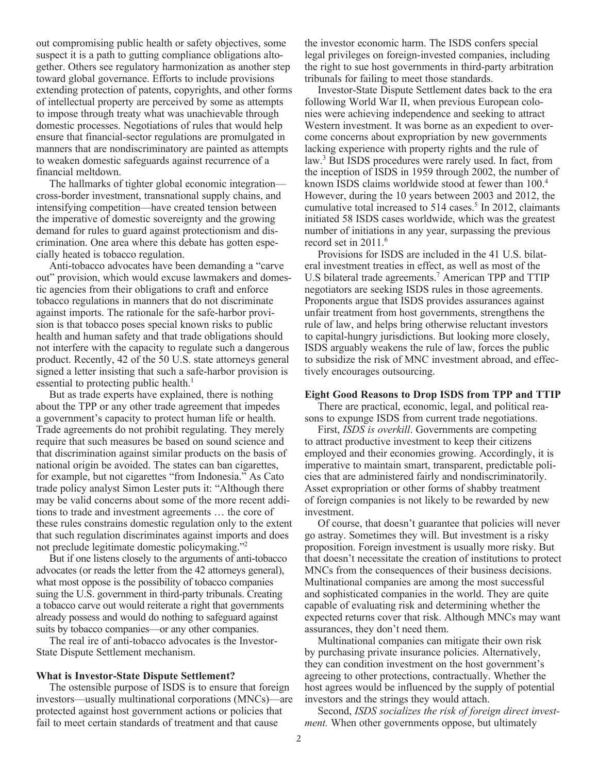out compromising public health or safety objectives, some suspect it is a path to gutting compliance obligations altogether. Others see regulatory harmonization as another step toward global governance. Efforts to include provisions extending protection of patents, copyrights, and other forms of intellectual property are perceived by some as attempts to impose through treaty what was unachievable through domestic processes. Negotiations of rules that would help ensure that financial-sector regulations are promulgated in manners that are nondiscriminatory are painted as attempts to weaken domestic safeguards against recurrence of a financial meltdown.

The hallmarks of tighter global economic integration cross-border investment, transnational supply chains, and intensifying competition—have created tension between the imperative of domestic sovereignty and the growing demand for rules to guard against protectionism and discrimination. One area where this debate has gotten especially heated is tobacco regulation.

Anti-tobacco advocates have been demanding a "carve out" provision, which would excuse lawmakers and domestic agencies from their obligations to craft and enforce tobacco regulations in manners that do not discriminate against imports. The rationale for the safe-harbor provision is that tobacco poses special known risks to public health and human safety and that trade obligations should not interfere with the capacity to regulate such a dangerous product. Recently, 42 of the 50 U.S. state attorneys general signed a letter insisting that such a safe-harbor provision is essential to protecting public health.<sup>1</sup>

But as trade experts have explained, there is nothing about the TPP or any other trade agreement that impedes a government's capacity to protect human life or health. Trade agreements do not prohibit regulating. They merely require that such measures be based on sound science and that discrimination against similar products on the basis of national origin be avoided. The states can ban cigarettes, for example, but not cigarettes "from Indonesia." As Cato trade policy analyst Simon Lester puts it: "Although there may be valid concerns about some of the more recent additions to trade and investment agreements … the core of these rules constrains domestic regulation only to the extent that such regulation discriminates against imports and does not preclude legitimate domestic policymaking."2

But if one listens closely to the arguments of anti-tobacco advocates (or reads the letter from the 42 attorneys general), what most oppose is the possibility of tobacco companies suing the U.S. government in third-party tribunals. Creating a tobacco carve out would reiterate a right that governments already possess and would do nothing to safeguard against suits by tobacco companies—or any other companies.

The real ire of anti-tobacco advocates is the Investor-State Dispute Settlement mechanism.

#### **What is Investor-State Dispute Settlement?**

The ostensible purpose of ISDS is to ensure that foreign investors—usually multinational corporations (MNCs)—are protected against host government actions or policies that fail to meet certain standards of treatment and that cause

the investor economic harm. The ISDS confers special legal privileges on foreign-invested companies, including the right to sue host governments in third-party arbitration tribunals for failing to meet those standards.

Investor-State Dispute Settlement dates back to the era following World War II, when previous European colonies were achieving independence and seeking to attract Western investment. It was borne as an expedient to overcome concerns about expropriation by new governments lacking experience with property rights and the rule of law.<sup>3</sup> But ISDS procedures were rarely used. In fact, from the inception of ISDS in 1959 through 2002, the number of known ISDS claims worldwide stood at fewer than 100.4 However, during the 10 years between 2003 and 2012, the cumulative total increased to  $514$  cases.<sup>5</sup> In 2012, claimants initiated 58 ISDS cases worldwide, which was the greatest number of initiations in any year, surpassing the previous record set in 2011.<sup>6</sup>

Provisions for ISDS are included in the 41 U.S. bilateral investment treaties in effect, as well as most of the U.S bilateral trade agreements.<sup>7</sup> American TPP and TTIP negotiators are seeking ISDS rules in those agreements. Proponents argue that ISDS provides assurances against unfair treatment from host governments, strengthens the rule of law, and helps bring otherwise reluctant investors to capital-hungry jurisdictions. But looking more closely, ISDS arguably weakens the rule of law, forces the public to subsidize the risk of MNC investment abroad, and effectively encourages outsourcing.

#### **Eight Good Reasons to Drop ISDS from TPP and TTIP**

There are practical, economic, legal, and political reasons to expunge ISDS from current trade negotiations.

First, *ISDS is overkill*. Governments are competing to attract productive investment to keep their citizens employed and their economies growing. Accordingly, it is imperative to maintain smart, transparent, predictable policies that are administered fairly and nondiscriminatorily. Asset expropriation or other forms of shabby treatment of foreign companies is not likely to be rewarded by new investment.

Of course, that doesn't guarantee that policies will never go astray. Sometimes they will. But investment is a risky proposition. Foreign investment is usually more risky. But that doesn't necessitate the creation of institutions to protect MNCs from the consequences of their business decisions. Multinational companies are among the most successful and sophisticated companies in the world. They are quite capable of evaluating risk and determining whether the expected returns cover that risk. Although MNCs may want assurances, they don't need them.

Multinational companies can mitigate their own risk by purchasing private insurance policies. Alternatively, they can condition investment on the host government's agreeing to other protections, contractually. Whether the host agrees would be influenced by the supply of potential investors and the strings they would attach.

Second, *ISDS socializes the risk of foreign direct investment.* When other governments oppose, but ultimately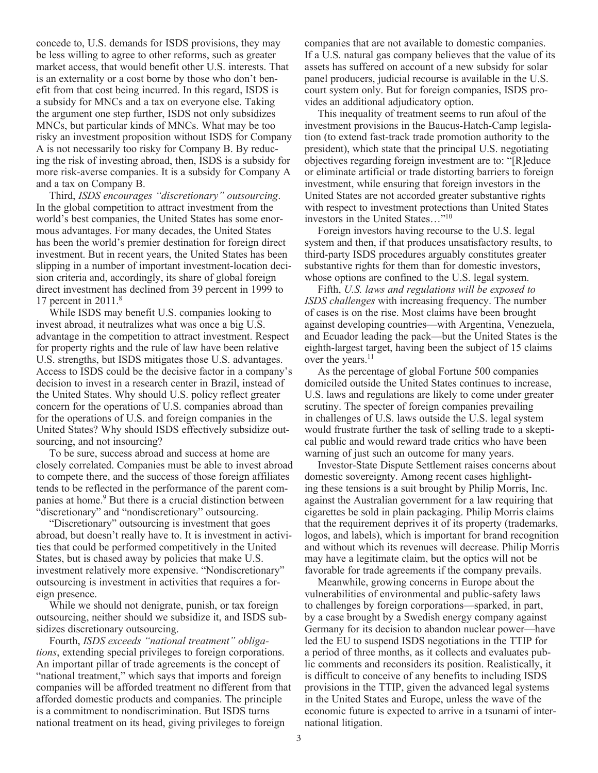concede to, U.S. demands for ISDS provisions, they may be less willing to agree to other reforms, such as greater market access, that would benefit other U.S. interests. That is an externality or a cost borne by those who don't benefit from that cost being incurred. In this regard, ISDS is a subsidy for MNCs and a tax on everyone else. Taking the argument one step further, ISDS not only subsidizes MNCs, but particular kinds of MNCs. What may be too risky an investment proposition without ISDS for Company A is not necessarily too risky for Company B. By reducing the risk of investing abroad, then, ISDS is a subsidy for more risk-averse companies. It is a subsidy for Company A and a tax on Company B.

Third, *ISDS encourages "discretionary" outsourcing*. In the global competition to attract investment from the world's best companies, the United States has some enormous advantages. For many decades, the United States has been the world's premier destination for foreign direct investment. But in recent years, the United States has been slipping in a number of important investment-location decision criteria and, accordingly, its share of global foreign direct investment has declined from 39 percent in 1999 to 17 percent in  $2011$ <sup>8</sup>

While ISDS may benefit U.S. companies looking to invest abroad, it neutralizes what was once a big U.S. advantage in the competition to attract investment. Respect for property rights and the rule of law have been relative U.S. strengths, but ISDS mitigates those U.S. advantages. Access to ISDS could be the decisive factor in a company's decision to invest in a research center in Brazil, instead of the United States. Why should U.S. policy reflect greater concern for the operations of U.S. companies abroad than for the operations of U.S. and foreign companies in the United States? Why should ISDS effectively subsidize outsourcing, and not insourcing?

To be sure, success abroad and success at home are closely correlated. Companies must be able to invest abroad to compete there, and the success of those foreign affiliates tends to be reflected in the performance of the parent companies at home.<sup>9</sup> But there is a crucial distinction between "discretionary" and "nondiscretionary" outsourcing.

"Discretionary" outsourcing is investment that goes abroad, but doesn't really have to. It is investment in activities that could be performed competitively in the United States, but is chased away by policies that make U.S. investment relatively more expensive. "Nondiscretionary" outsourcing is investment in activities that requires a foreign presence.

While we should not denigrate, punish, or tax foreign outsourcing, neither should we subsidize it, and ISDS subsidizes discretionary outsourcing.

Fourth, *ISDS exceeds "national treatment" obligations*, extending special privileges to foreign corporations. An important pillar of trade agreements is the concept of "national treatment," which says that imports and foreign companies will be afforded treatment no different from that afforded domestic products and companies. The principle is a commitment to nondiscrimination. But ISDS turns national treatment on its head, giving privileges to foreign

companies that are not available to domestic companies. If a U.S. natural gas company believes that the value of its assets has suffered on account of a new subsidy for solar panel producers, judicial recourse is available in the U.S. court system only. But for foreign companies, ISDS provides an additional adjudicatory option.

This inequality of treatment seems to run afoul of the investment provisions in the Baucus-Hatch-Camp legislation (to extend fast-track trade promotion authority to the president), which state that the principal U.S. negotiating objectives regarding foreign investment are to: "[R]educe or eliminate artificial or trade distorting barriers to foreign investment, while ensuring that foreign investors in the United States are not accorded greater substantive rights with respect to investment protections than United States investors in the United States…"10

Foreign investors having recourse to the U.S. legal system and then, if that produces unsatisfactory results, to third-party ISDS procedures arguably constitutes greater substantive rights for them than for domestic investors, whose options are confined to the U.S. legal system.

Fifth, *U.S. laws and regulations will be exposed to ISDS challenges* with increasing frequency. The number of cases is on the rise. Most claims have been brought against developing countries—with Argentina, Venezuela, and Ecuador leading the pack—but the United States is the eighth-largest target, having been the subject of 15 claims over the years.<sup>11</sup>

As the percentage of global Fortune 500 companies domiciled outside the United States continues to increase, U.S. laws and regulations are likely to come under greater scrutiny. The specter of foreign companies prevailing in challenges of U.S. laws outside the U.S. legal system would frustrate further the task of selling trade to a skeptical public and would reward trade critics who have been warning of just such an outcome for many years.

Investor-State Dispute Settlement raises concerns about domestic sovereignty. Among recent cases highlighting these tensions is a suit brought by Philip Morris, Inc. against the Australian government for a law requiring that cigarettes be sold in plain packaging. Philip Morris claims that the requirement deprives it of its property (trademarks, logos, and labels), which is important for brand recognition and without which its revenues will decrease. Philip Morris may have a legitimate claim, but the optics will not be favorable for trade agreements if the company prevails.

Meanwhile, growing concerns in Europe about the vulnerabilities of environmental and public-safety laws to challenges by foreign corporations—sparked, in part, by a case brought by a Swedish energy company against Germany for its decision to abandon nuclear power—have led the EU to suspend ISDS negotiations in the TTIP for a period of three months, as it collects and evaluates public comments and reconsiders its position. Realistically, it is difficult to conceive of any benefits to including ISDS provisions in the TTIP, given the advanced legal systems in the United States and Europe, unless the wave of the economic future is expected to arrive in a tsunami of international litigation.